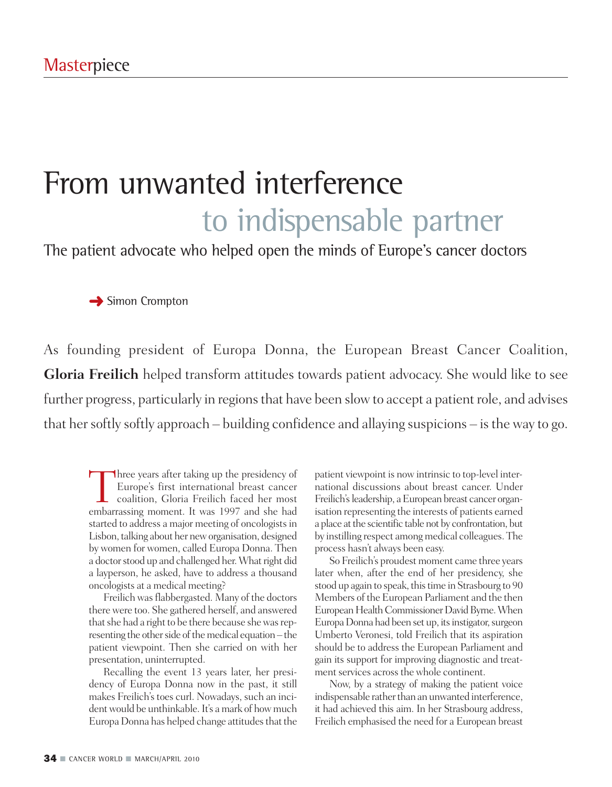# From unwanted interference to indispensable partner

The patient advocate who helped open the minds of Europe's cancer doctors

**→** Simon Crompton

As founding president of Europa Donna, the European Breast Cancer Coalition, **Gloria Freilich** helped transform attitudes towards patient advocacy. She would like to see further progress, particularly in regions that have been slow to accept a patient role, and advises that her softly softly approach – building confidence and allaying suspicions – is the way to go.

Three years after taking up the presidency of<br>Europe's first international breast cancer<br>coalition, Gloria Freilich faced her most<br>embarrassing moment. It was 1997 and she had Europe's first international breast cancer coalition, Gloria Freilich faced her most embarrassing moment. It was 1997 and she had started to address a major meeting of oncologists in Lisbon, talking about her new organisation, designed by women for women, called Europa Donna. Then a doctor stood up and challenged her. What right did a layperson, he asked, have to address a thousand oncologists at a medical meeting?

Freilich was flabbergasted. Many of the doctors there were too. She gathered herself, and answered that she had a right to be there because she was representing the other side of the medical equation – the patient viewpoint. Then she carried on with her presentation, uninterrupted.

Recalling the event 13 years later, her presidency of Europa Donna now in the past, it still makes Freilich's toes curl. Nowadays, such an incident would be unthinkable. It's a mark of how much Europa Donna has helped change attitudes that the patient viewpoint is now intrinsic to top-level international discussions about breast cancer. Under Freilich's leadership, a European breast cancer organisation representing the interests of patients earned a place at the scientific table not by confrontation, but by instilling respect among medical colleagues. The process hasn't always been easy.

So Freilich's proudest moment came three years later when, after the end of her presidency, she stood up again to speak, this time in Strasbourg to 90 Members of the European Parliament and the then European Health Commissioner David Byrne. When Europa Donna had been set up, its instigator, surgeon Umberto Veronesi, told Freilich that its aspiration should be to address the European Parliament and gain its support for improving diagnostic and treatment services across the whole continent.

Now, by a strategy of making the patient voice indispensable rather than an unwanted interference, it had achieved this aim. In her Strasbourg address, Freilich emphasised the need for a European breast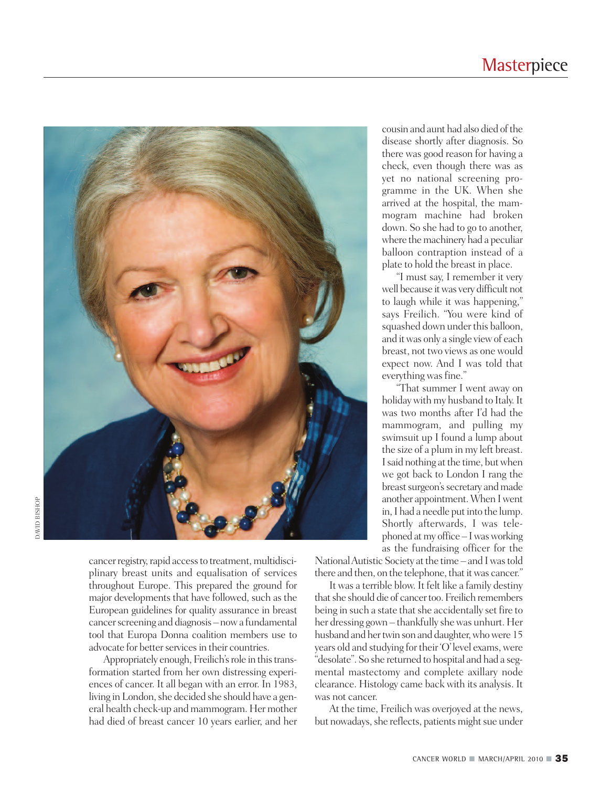

cancer registry, rapid access to treatment, multidisciplinary breast units and equalisation of services throughout Europe. This prepared the ground for major developments that have followed, such as the European guidelines for quality assurance in breast cancer screening and diagnosis – now a fundamental tool that Europa Donna coalition members use to advocate for better services in their countries.

Appropriately enough, Freilich's role in this transformation started from her own distressing experiences of cancer. It all began with an error. In 1983, living in London, she decided she should have a general health check-up and mammogram. Her mother had died of breast cancer 10 years earlier, and her

cousin and aunt had also died ofthe disease shortly after diagnosis. So there was good reason for having a check, even though there was as yet no national screening programme in the UK. When she arrived at the hospital, the mammogram machine had broken down. So she had to go to another, where the machinery had a peculiar balloon contraption instead of a plate to hold the breast in place.

"I must say, I remember it very well because itwas very difficult not to laugh while it was happening," says Freilich. "You were kind of squashed down under this balloon, and itwas only a single viewof each breast, not two views as one would expect now. And I was told that everything was fine."

"That summer I went away on holidaywith my husband to Italy.It was two months after I'd had the mammogram, and pulling my swimsuit up I found a lump about the size of a plum in my left breast. I said nothing at the time, but when we got back to London I rang the breast surgeon's secretary and made another appointment.When Iwent in, I had a needle put into the lump. Shortly afterwards, I was telephoned atmy office – Iwasworking as the fundraising officer for the

National Autistic Society at the time – and I was told there and then, on the telephone, that it was cancer."

It was a terrible blow. It felt like a family destiny that she should die of cancer too. Freilich remembers being in such a state that she accidentally set fire to her dressing gown – thankfully shewas unhurt. Her husband and her twin son and daughter, who were 15 years old and studying for their 'O'level exams, were "desolate". So she returned to hospital and had a segmental mastectomy and complete axillary node clearance. Histology came back with its analysis. It was not cancer.

At the time, Freilich was overjoyed at the news, but nowadays, she reflects, patients might sue under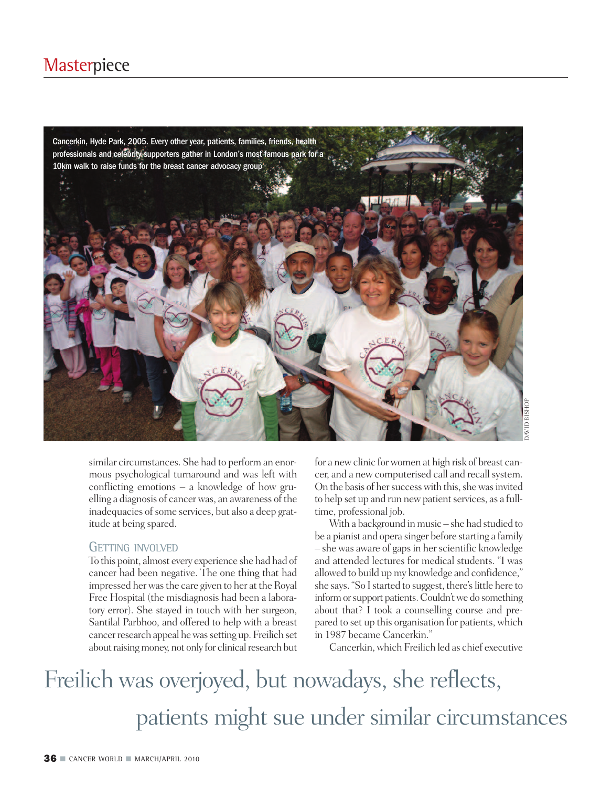### **Masterpiece**



similar circumstances. She had to perform an enormous psychological turnaround and was left with conflicting emotions – a knowledge of how gruelling a diagnosis of cancerwas, an awareness of the inadequacies of some services, but also a deep gratitude at being spared.

#### GETTING INVOLVED

To this point, almost every experience she had had of cancer had been negative. The one thing that had impressed her was the care given to her at the Royal Free Hospital (the misdiagnosis had been a laboratory error). She stayed in touch with her surgeon, Santilal Parbhoo, and offered to help with a breast cancerresearch appeal hewassetting up. Freilich set about raising money, not only for clinical research but

for a newclinic forwomen at high risk of breast cancer, and a new computerised call and recall system. On the basis of her success with this, she was invited to help set up and run new patient services, as a fulltime, professional job.

With a background in music – she had studied to be a pianist and opera singer before starting a family – she was aware of gapsin herscientific knowledge and attended lectures for medical students. "I was allowed to build up my knowledge and confidence," she says. "So I started to suggest, there's little here to inform or support patients. Couldn't we do something about that? I took a counselling course and prepared to set up this organisation for patients, which in 1987 became Cancerkin."

Cancerkin,which Freilich led as chief executive

## Freilich was overjoyed, but nowadays, she reflects, patients might sue under similar circumstances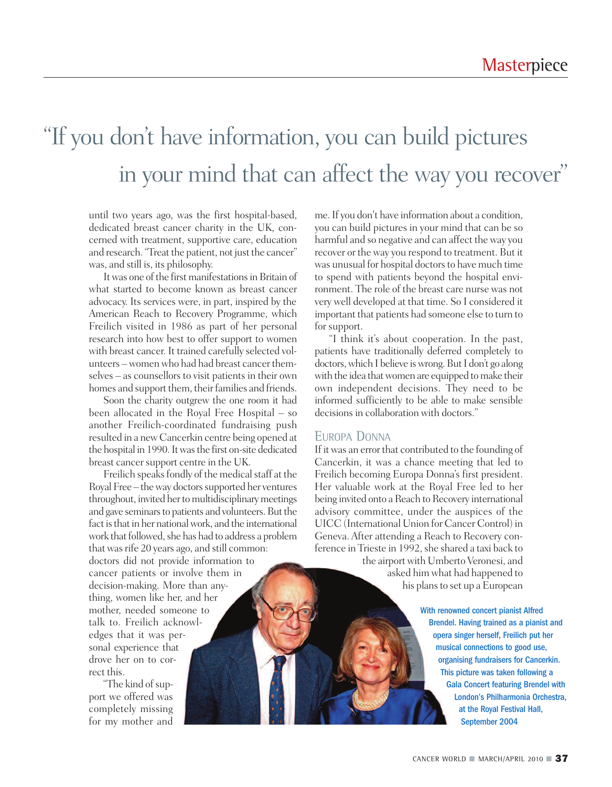### "If you don 't have information, you can build pictures in your mind that can affect the way you recover "

until two years ago, was the first hospital-based, dedicated breast cancer charity in the UK, concerned with treatment, supportive care, education and research."Treat the patient, not just the cancer" was, and still is, its philosophy.

It was one of the first manifestations in Britain of what started to become known as breast cancer advocacy. Its services were, in part, inspired by the American Reach to Recovery Programme, which Freilich visited in 1986 as part of her personal research into how best to offer support to women with breast cancer. It trained carefully selected volunteers –womenwho had had breast cancer themselves – as counsellors to visit patients in their own homes and support them, their families and friends.

Soon the charity outgrew the one room it had been allocated in the Royal Free Hospital – so another Freilich-coordinated fundraising push resulted in a new Cancerkin centre being opened at the hospital in 1990. It was the first on-site dedicated breast cancer support centre in the UK.

Freilich speaks fondly of the medical staff at the Royal Free – the way doctors supported her ventures throughout, invited her to multidisciplinary meetings and gave seminars to patients and volunteers. But the fact is that in her national work, and the international work that followed, she has had to address a problem that wasrife 20 years ago, and still common: doctors did not provide information to cancer patients or involve them in decision-making. More than anything, women like her, and her mother, needed someone to talk to. Freilich acknowledges that it was personal experience that drove her on to correct this.

"The kind of support we offered was completely missing for my mother and

me.If you don't have information about a condition, you can build pictures in your mind that can be so harmful and so negative and can affect the way you recover or the way you respond to treatment. But it was unusual for hospital doctors to have much time to spend with patients beyond the hospital environment. The role of the breast care nurse was not very well developed at that time. So I considered it important that patients had someone else to turn to for support.

"I think it's about cooperation. In the past, patients have traditionally deferred completely to doctors, which I believe is wrong. But I don't go along with the idea that women are equipped to make their own independent decisions. They need to be informed sufficiently to be able to make sensible decisions in collaboration with doctors."

#### EUROPA DONNA

If itwas an error that contributed to the founding of Cancerkin, it was a chance meeting that led to Freilich becoming Europa Donna's first president. Her valuable work at the Royal Free led to her being invited onto a Reach to Recovery international advisory committee, under the auspices of the UICC (International Union for Cancer Control) in Geneva. After attending a Reach to Recovery conference in Trieste in 1992, she shared a taxi back to

the airport with Umberto Veronesi, and asked him what had happened to his plans to set up a European

> With renowned concert pianist Alfred Brendel. Having trained as a pianist and opera singer herself, Freilich put her musical connections to good use, organising fundraisers for Cancerkin. This picture was taken following a Gala Concert featuring Brendel with London's Philharmonia Orchestra, at the Royal Festival Hall, September 2004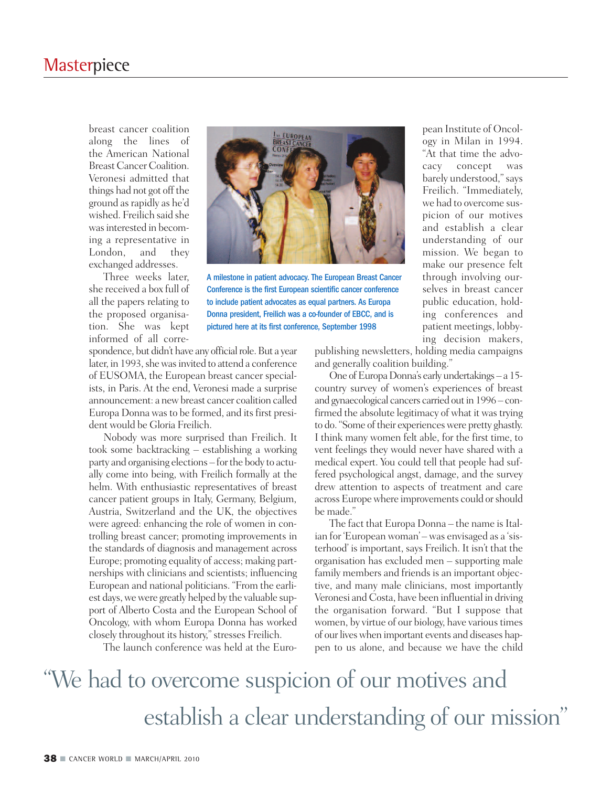breast cancer coalition along the lines of the American National Breast Cancer Coalition. Veronesi admitted that things had not got off the ground asrapidly as he'd wished. Freilich said she was interested in becoming a representative in London, and they exchanged addresses.

Three weeks later, she received a box full of all the papers relating to the proposed organisation. She was kept informed of all corre-



A milestone in patient advocacy. The European Breast Cancer Conference is the first European scientific cancer conference to include patient advocates as equal partners. As Europa Donna president, Freilich was a co-founder of EBCC, and is pictured here at its first conference, September 1998

spondence, but didn't have any official role. But a year later, in 1993, she was invited to attend a conference of EUSOMA, the European breast cancer specialists, in Paris. At the end, Veronesi made a surprise announcement: a newbreast cancer coalition called Europa Donna was to be formed, and its first president would be Gloria Freilich.

Nobody was more surprised than Freilich. It took some backtracking – establishing a working party and organising elections – for the body to actually come into being, with Freilich formally at the helm. With enthusiastic representatives of breast cancer patient groups in Italy, Germany, Belgium, Austria, Switzerland and the UK, the objectives were agreed: enhancing the role of women in controlling breast cancer; promoting improvements in the standards of diagnosis and management across Europe; promoting equality of access; making partnerships with clinicians and scientists; influencing European and national politicians. "From the earliest days, we were greatly helped by the valuable support of Alberto Costa and the European School of Oncology, with whom Europa Donna has worked closely throughout its history,"stresses Freilich.

The launch conference was held at the Euro-

pean Institute of Oncology in Milan in 1994. "At that time the advocacy concept was barely understood,"says Freilich. "Immediately, we had to overcome suspicion of our motives and establish a clear understanding of our mission. We began to make our presence felt through involving ourselves in breast cancer public education, holding conferences and patient meetings, lobbying decision makers,

publishing newsletters, holding media campaigns and generally coalition building."

One of Europa Donna's early undertakings – a 15country survey of women's experiences of breast and gynaecological cancers carried out in 1996 – confirmed the absolute legitimacy of what it was trying to do. "Some of their experiences were pretty ghastly. I think many women felt able, for the first time, to vent feelings they would never have shared with a medical expert. You could tell that people had suffered psychological angst, damage, and the survey drew attention to aspects of treatment and care acrossEuropewhere improvements could orshould be made."

The fact that Europa Donna - the name is Italian for 'European woman' – was envisaged as a 'sisterhood' is important, says Freilich. It isn't that the organisation has excluded men – supporting male family members and friends is an important objective, and many male clinicians, most importantly Veronesi and Costa, have been influential in driving the organisation forward. "But I suppose that women, by virtue of our biology, have various times of our lives when important events and diseases happen to us alone, and because we have the child

"We had to overcome suspicion of our motives and establish a clear understanding of our mission"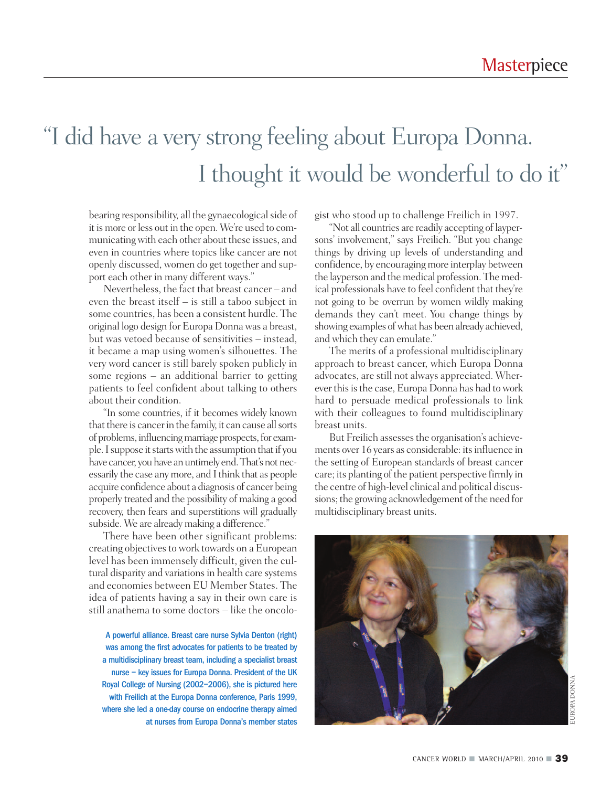### "I did have a very strong feeling about Europa Donna. I thought it would be wonderful to do it"

bearing responsibility, all the gynaecological side of it is more or less out in the open. We're used to communicatingwith each other about these issues, and even in countries where topics like cancer are not openly discussed, women do get together and support each other in many different ways."

Nevertheless, the fact that breast cancer – and even the breast itself – is still a taboo subject in some countries, has been a consistent hurdle. The original logo design for Europa Donna was a breast, but was vetoed because of sensitivities – instead, it became a map using women's silhouettes. The very word cancer is still barely spoken publicly in some regions – an additional barrier to getting patients to feel confident about talking to others about their condition.

"In some countries, if it becomes widely known that there is cancer in the family, it can cause all sorts of problems, influencing marriage prospects, for example.Isuppose itstartswith the assumption thatif you have cancer, you have an untimely end. That's not necessarily the case any more, and Ithink that as people acquire confidence about a diagnosis of cancer being properly treated and the possibility of making a good recovery, then fears and superstitions will gradually subside. We are already making a difference."

There have been other significant problems: creating objectives to work towards on a European level has been immensely difficult, given the cultural disparity and variations in health care systems and economies between EU Member States. The idea of patients having a say in their own care is still anathema to some doctors – like the oncolo-

A powerful alliance. Breast care nurse Sylvia Denton (right) was among the first advocates for patients to be treated by a multidisciplinary breast team, including a specialist breast nurse – key issues for Europa Donna. President of the UK Royal College of Nursing (2002–2006), she is pictured here with Freilich at the Europa Donna conference, Paris 1999, where she led a one-day course on endocrine therapy aimed gist who stood up to challenge Freilich in 1997.

"Not all countries are readily accepting of laypersons' involvement," says Freilich. "But you change things by driving up levels of understanding and confidence, by encouraging more interplay between the layperson and the medical profession. The medical professionals have to feel confident that they're not going to be overrun by women wildly making demands they can't meet. You change things by showing examples of what has been already achieved, and which they can emulate."

The merits of a professional multidisciplinary approach to breast cancer, which Europa Donna advocates, are still not always appreciated. Wherever this is the case, Europa Donna has had to work hard to persuade medical professionals to link with their colleagues to found multidisciplinary breast units.

But Freilich assesses the organisation's achievements over 16 years as considerable: its influence in the setting of European standards of breast cancer care; its planting of the patient perspective firmly in the centre of high-level clinical and political discussions; the growing acknowledgement of the need for multidisciplinary breast units.